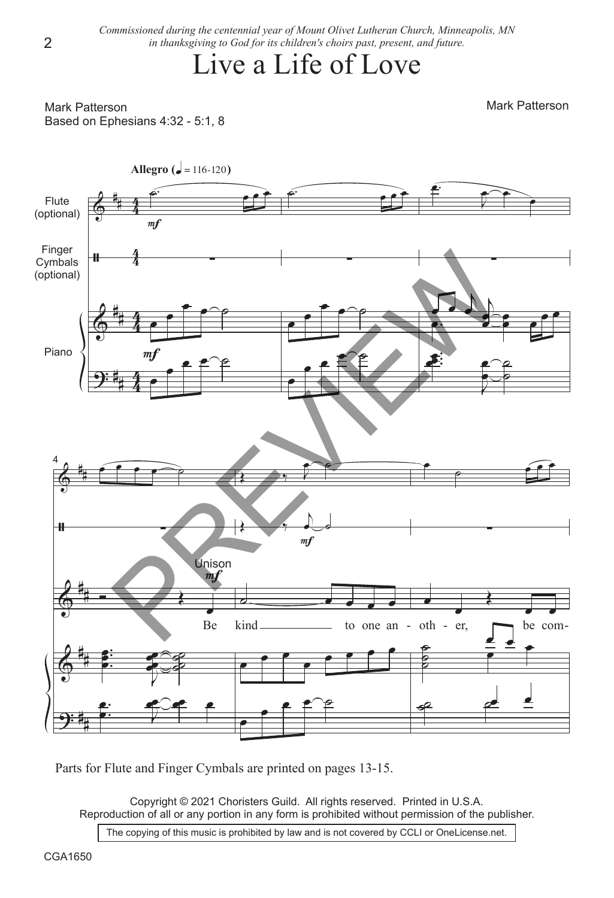*Commissioned during the centennial year of Mount Olivet Lutheran Church, Minneapolis, MN in thanksgiving to God for its children's choirs past, present, and future.*

## Live a Life of Love

Mark Patterson Based on Ephesians 4:32 - 5:1, 8 Mark Patterson



Parts for Flute and Finger Cymbals are printed on pages 13-15.

Copyright © 2021 Choristers Guild. All rights reserved. Printed in U.S.A. Reproduction of all or any portion in any form is prohibited without permission of the publisher.

The copying of this music is prohibited by law and is not covered by CCLI or OneLicense.net.

2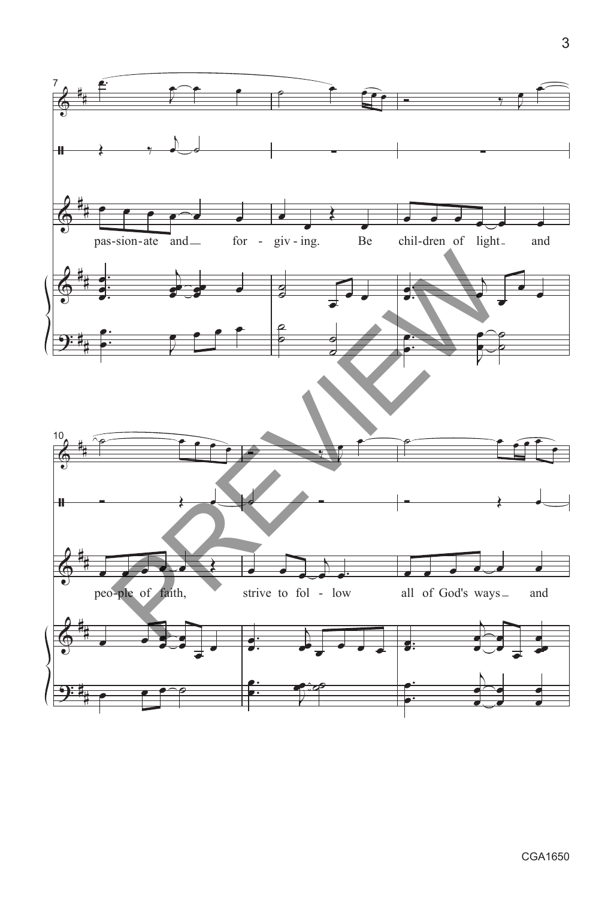

CGA1650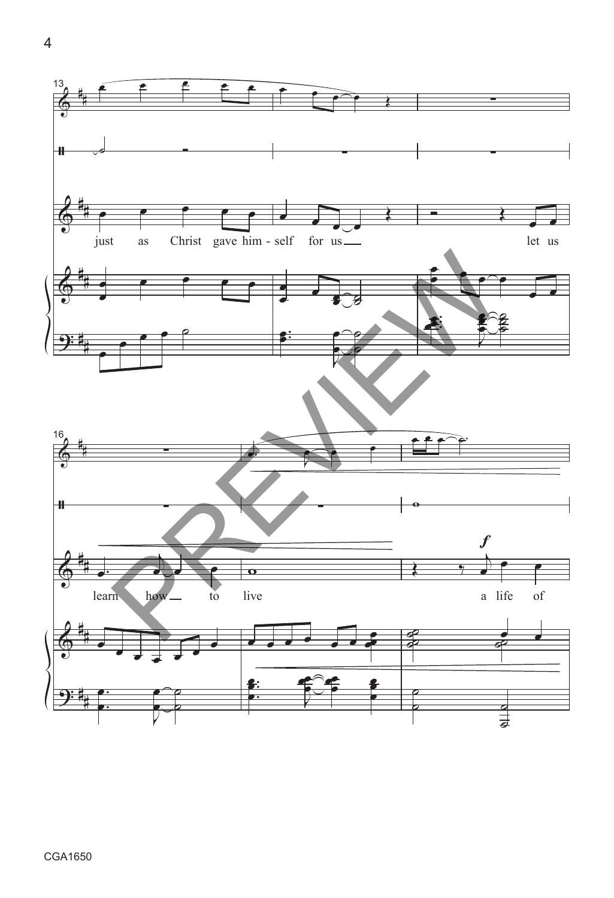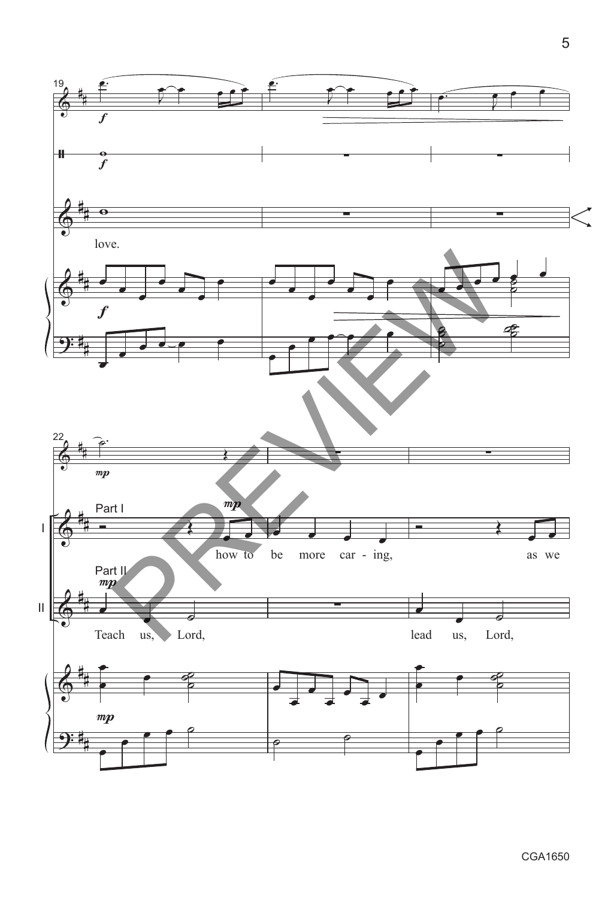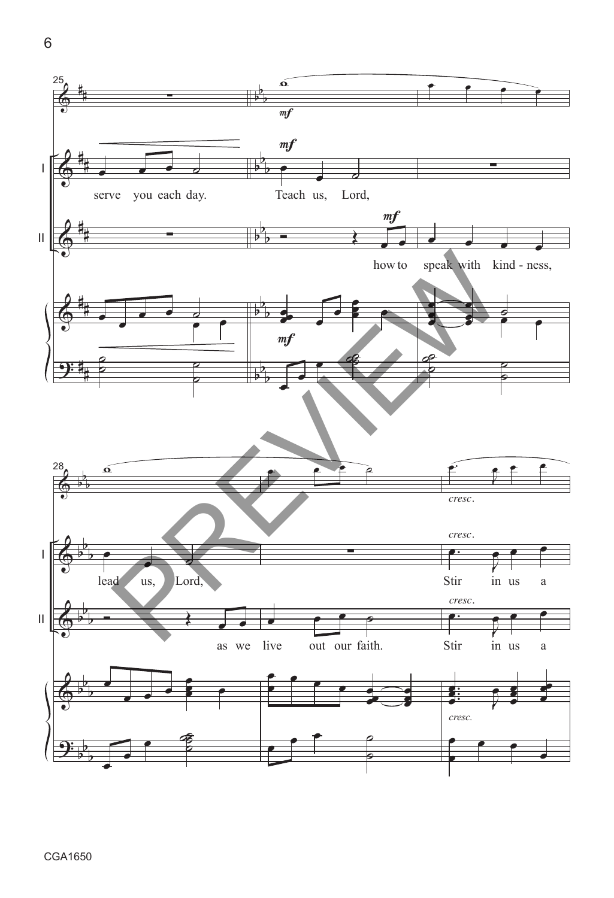